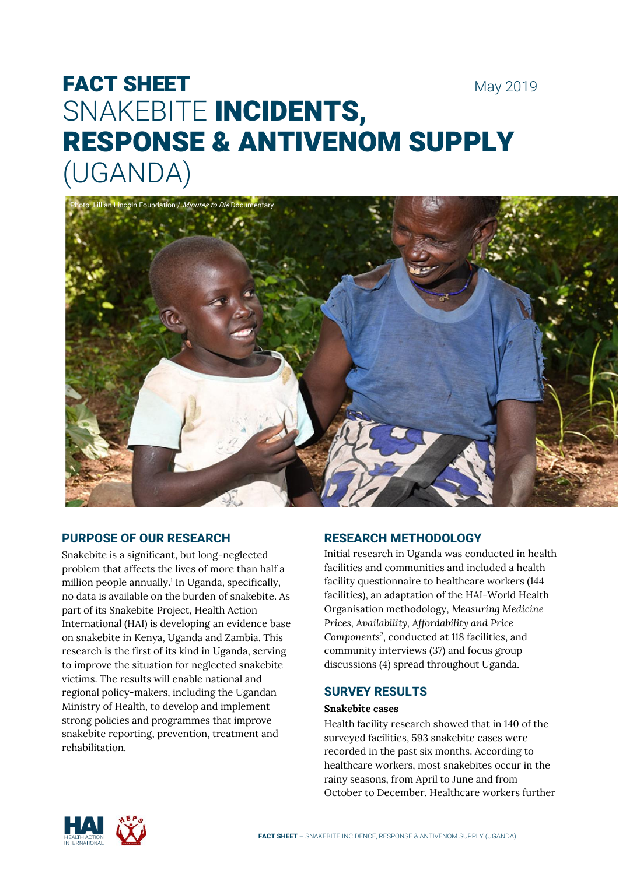# FACT SHEET May 2019 SNAKEBITE INCIDENTS, RESPONSE & ANTIVENOM SUPPLY (UGANDA)



# **PURPOSE OF OUR RESEARCH**

Snakebite is a significant, but long-neglected problem that affects the lives of more than half a million people annually.<sup>1</sup> In Uganda, specifically, no data is available on the burden of snakebite. As part of its Snakebite Project, Health Action International (HAI) is developing an evidence base on snakebite in Kenya, Uganda and Zambia. This research is the first of its kind in Uganda, serving to improve the situation for neglected snakebite victims. The results will enable national and regional policy-makers, including the Ugandan Ministry of Health, to develop and implement strong policies and programmes that improve snakebite reporting, prevention, treatment and rehabilitation.

# **RESEARCH METHODOLOGY**

Initial research in Uganda was conducted in health facilities and communities and included a health facility questionnaire to healthcare workers (144 facilities), an adaptation of the HAI-World Health Organisation methodology, *Measuring Medicine Prices, Availability, Affordability and Price Components*<sup>2</sup> , conducted at 118 facilities, and community interviews (37) and focus group discussions (4) spread throughout Uganda.

# **SURVEY RESULTS**

#### **Snakebite cases**

Health facility research showed that in 140 of the surveyed facilities, 593 snakebite cases were recorded in the past six months. According to healthcare workers, most snakebites occur in the rainy seasons, from April to June and from October to December. Healthcare workers further